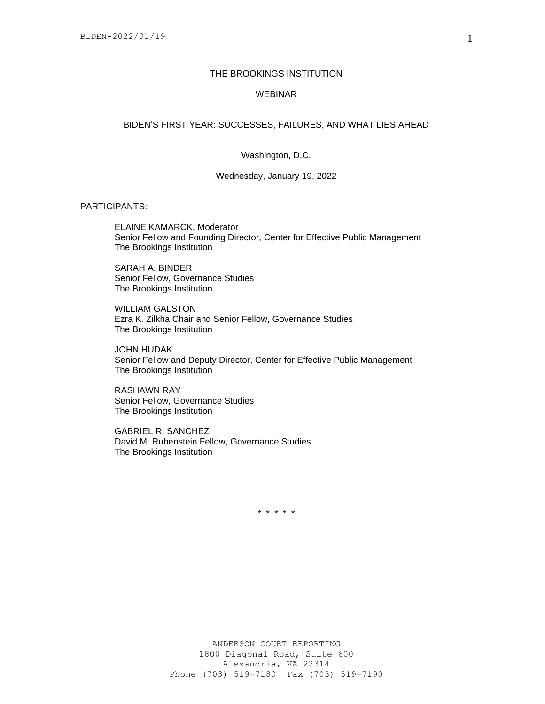# THE BROOKINGS INSTITUTION

## WEBINAR

## BIDEN'S FIRST YEAR: SUCCESSES, FAILURES, AND WHAT LIES AHEAD

### Washington, D.C.

Wednesday, January 19, 2022

PARTICIPANTS:

ELAINE KAMARCK, Moderator Senior Fellow and Founding Director, Center for Effective Public Management The Brookings Institution

SARAH A. BINDER Senior Fellow, Governance Studies The Brookings Institution

WILLIAM GALSTON Ezra K. Zilkha Chair and Senior Fellow, Governance Studies The Brookings Institution

JOHN HUDAK Senior Fellow and Deputy Director, Center for Effective Public Management The Brookings Institution

RASHAWN RAY Senior Fellow, Governance Studies The Brookings Institution

GABRIEL R. SANCHEZ David M. Rubenstein Fellow, Governance Studies The Brookings Institution

\* \* \* \* \*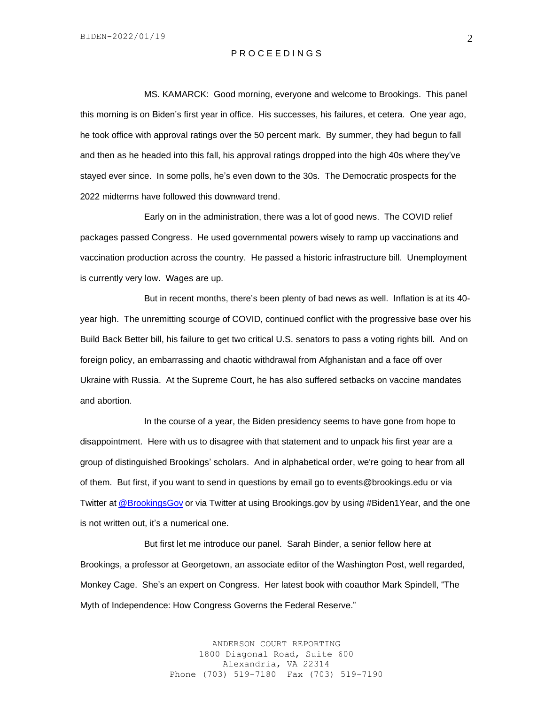## P R O C E E D I N G S

MS. KAMARCK: Good morning, everyone and welcome to Brookings. This panel this morning is on Biden's first year in office. His successes, his failures, et cetera. One year ago, he took office with approval ratings over the 50 percent mark. By summer, they had begun to fall and then as he headed into this fall, his approval ratings dropped into the high 40s where they've stayed ever since. In some polls, he's even down to the 30s. The Democratic prospects for the 2022 midterms have followed this downward trend.

Early on in the administration, there was a lot of good news. The COVID relief packages passed Congress. He used governmental powers wisely to ramp up vaccinations and vaccination production across the country. He passed a historic infrastructure bill. Unemployment is currently very low. Wages are up.

But in recent months, there's been plenty of bad news as well. Inflation is at its 40 year high. The unremitting scourge of COVID, continued conflict with the progressive base over his Build Back Better bill, his failure to get two critical U.S. senators to pass a voting rights bill. And on foreign policy, an embarrassing and chaotic withdrawal from Afghanistan and a face off over Ukraine with Russia. At the Supreme Court, he has also suffered setbacks on vaccine mandates and abortion.

In the course of a year, the Biden presidency seems to have gone from hope to disappointment. Here with us to disagree with that statement and to unpack his first year are a group of distinguished Brookings' scholars. And in alphabetical order, we're going to hear from all of them. But first, if you want to send in questions by email go to events@brookings.edu or via Twitter at [@BrookingsGov](https://twitter.com/BrookingsGov) or via Twitter at using Brookings.gov by using #Biden1Year, and the one is not written out, it's a numerical one.

But first let me introduce our panel. Sarah Binder, a senior fellow here at Brookings, a professor at Georgetown, an associate editor of the Washington Post, well regarded, Monkey Cage. She's an expert on Congress. Her latest book with coauthor Mark Spindell, "The Myth of Independence: How Congress Governs the Federal Reserve."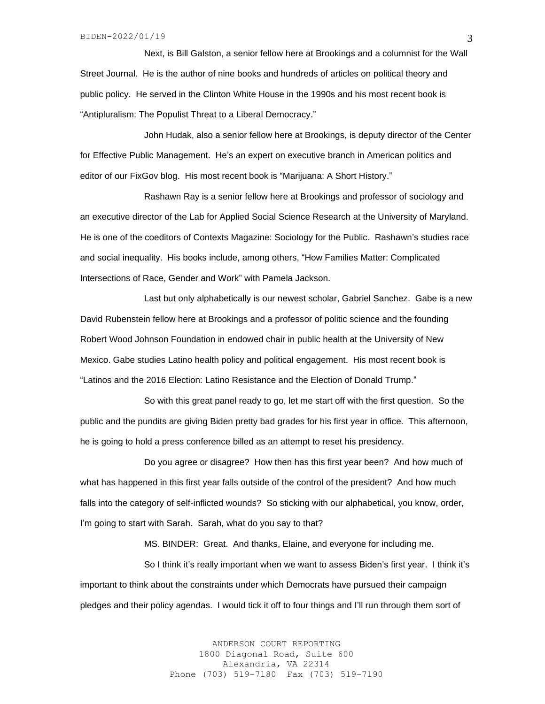Next, is Bill Galston, a senior fellow here at Brookings and a columnist for the Wall Street Journal. He is the author of nine books and hundreds of articles on political theory and public policy. He served in the Clinton White House in the 1990s and his most recent book is "Antipluralism: The Populist Threat to a Liberal Democracy."

John Hudak, also a senior fellow here at Brookings, is deputy director of the Center for Effective Public Management. He's an expert on executive branch in American politics and editor of our FixGov blog. His most recent book is "Marijuana: A Short History."

Rashawn Ray is a senior fellow here at Brookings and professor of sociology and an executive director of the Lab for Applied Social Science Research at the University of Maryland. He is one of the coeditors of Contexts Magazine: Sociology for the Public. Rashawn's studies race and social inequality. His books include, among others, "How Families Matter: Complicated Intersections of Race, Gender and Work" with Pamela Jackson.

Last but only alphabetically is our newest scholar, Gabriel Sanchez. Gabe is a new David Rubenstein fellow here at Brookings and a professor of politic science and the founding Robert Wood Johnson Foundation in endowed chair in public health at the University of New Mexico. Gabe studies Latino health policy and political engagement. His most recent book is "Latinos and the 2016 Election: Latino Resistance and the Election of Donald Trump."

So with this great panel ready to go, let me start off with the first question. So the public and the pundits are giving Biden pretty bad grades for his first year in office. This afternoon, he is going to hold a press conference billed as an attempt to reset his presidency.

Do you agree or disagree? How then has this first year been? And how much of what has happened in this first year falls outside of the control of the president? And how much falls into the category of self-inflicted wounds? So sticking with our alphabetical, you know, order, I'm going to start with Sarah. Sarah, what do you say to that?

MS. BINDER: Great. And thanks, Elaine, and everyone for including me.

So I think it's really important when we want to assess Biden's first year. I think it's important to think about the constraints under which Democrats have pursued their campaign pledges and their policy agendas. I would tick it off to four things and I'll run through them sort of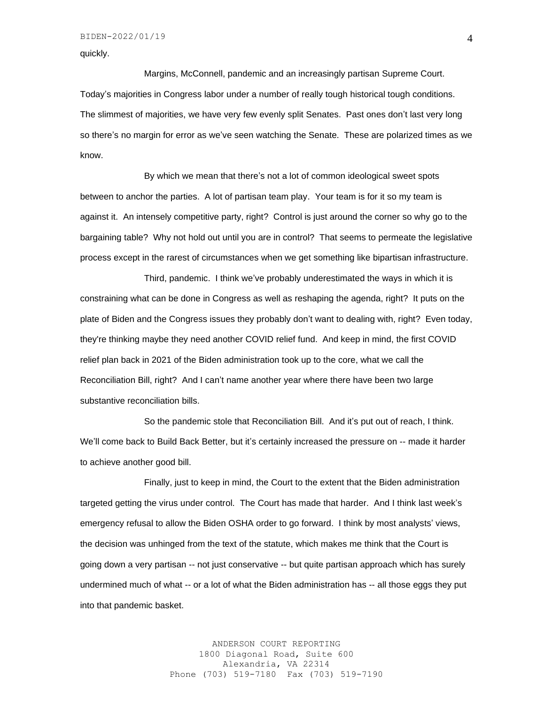quickly.

Margins, McConnell, pandemic and an increasingly partisan Supreme Court. Today's majorities in Congress labor under a number of really tough historical tough conditions. The slimmest of majorities, we have very few evenly split Senates. Past ones don't last very long so there's no margin for error as we've seen watching the Senate. These are polarized times as we know.

By which we mean that there's not a lot of common ideological sweet spots between to anchor the parties. A lot of partisan team play. Your team is for it so my team is against it. An intensely competitive party, right? Control is just around the corner so why go to the bargaining table? Why not hold out until you are in control? That seems to permeate the legislative process except in the rarest of circumstances when we get something like bipartisan infrastructure.

Third, pandemic. I think we've probably underestimated the ways in which it is constraining what can be done in Congress as well as reshaping the agenda, right? It puts on the plate of Biden and the Congress issues they probably don't want to dealing with, right? Even today, they're thinking maybe they need another COVID relief fund. And keep in mind, the first COVID relief plan back in 2021 of the Biden administration took up to the core, what we call the Reconciliation Bill, right? And I can't name another year where there have been two large substantive reconciliation bills.

So the pandemic stole that Reconciliation Bill. And it's put out of reach, I think. We'll come back to Build Back Better, but it's certainly increased the pressure on -- made it harder to achieve another good bill.

Finally, just to keep in mind, the Court to the extent that the Biden administration targeted getting the virus under control. The Court has made that harder. And I think last week's emergency refusal to allow the Biden OSHA order to go forward. I think by most analysts' views, the decision was unhinged from the text of the statute, which makes me think that the Court is going down a very partisan -- not just conservative -- but quite partisan approach which has surely undermined much of what -- or a lot of what the Biden administration has -- all those eggs they put into that pandemic basket.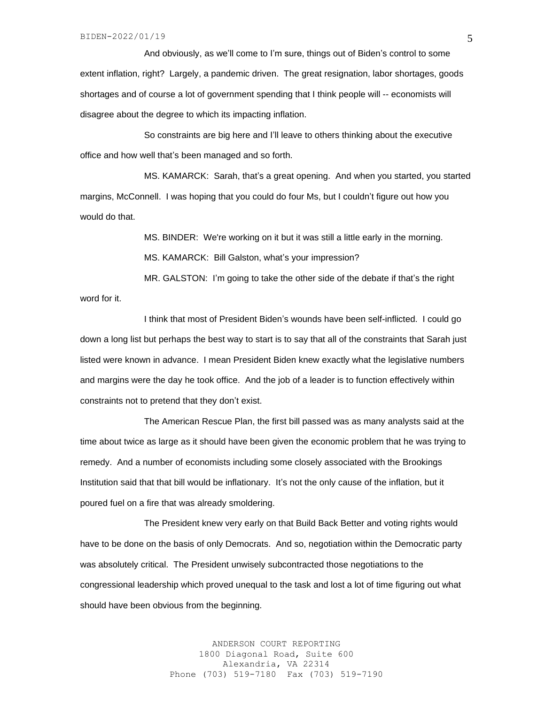And obviously, as we'll come to I'm sure, things out of Biden's control to some extent inflation, right? Largely, a pandemic driven. The great resignation, labor shortages, goods shortages and of course a lot of government spending that I think people will -- economists will disagree about the degree to which its impacting inflation.

So constraints are big here and I'll leave to others thinking about the executive office and how well that's been managed and so forth.

MS. KAMARCK: Sarah, that's a great opening. And when you started, you started margins, McConnell. I was hoping that you could do four Ms, but I couldn't figure out how you would do that.

> MS. BINDER: We're working on it but it was still a little early in the morning. MS. KAMARCK: Bill Galston, what's your impression?

MR. GALSTON: I'm going to take the other side of the debate if that's the right word for it.

I think that most of President Biden's wounds have been self-inflicted. I could go down a long list but perhaps the best way to start is to say that all of the constraints that Sarah just listed were known in advance. I mean President Biden knew exactly what the legislative numbers and margins were the day he took office. And the job of a leader is to function effectively within constraints not to pretend that they don't exist.

The American Rescue Plan, the first bill passed was as many analysts said at the time about twice as large as it should have been given the economic problem that he was trying to remedy. And a number of economists including some closely associated with the Brookings Institution said that that bill would be inflationary. It's not the only cause of the inflation, but it poured fuel on a fire that was already smoldering.

The President knew very early on that Build Back Better and voting rights would have to be done on the basis of only Democrats. And so, negotiation within the Democratic party was absolutely critical. The President unwisely subcontracted those negotiations to the congressional leadership which proved unequal to the task and lost a lot of time figuring out what should have been obvious from the beginning.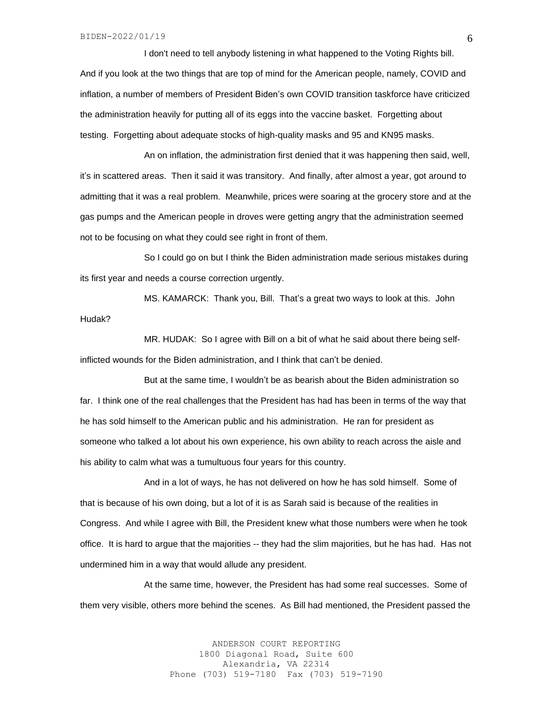I don't need to tell anybody listening in what happened to the Voting Rights bill. And if you look at the two things that are top of mind for the American people, namely, COVID and inflation, a number of members of President Biden's own COVID transition taskforce have criticized the administration heavily for putting all of its eggs into the vaccine basket. Forgetting about testing. Forgetting about adequate stocks of high-quality masks and 95 and KN95 masks.

An on inflation, the administration first denied that it was happening then said, well, it's in scattered areas. Then it said it was transitory. And finally, after almost a year, got around to admitting that it was a real problem. Meanwhile, prices were soaring at the grocery store and at the gas pumps and the American people in droves were getting angry that the administration seemed not to be focusing on what they could see right in front of them.

So I could go on but I think the Biden administration made serious mistakes during its first year and needs a course correction urgently.

MS. KAMARCK: Thank you, Bill. That's a great two ways to look at this. John Hudak?

MR. HUDAK: So I agree with Bill on a bit of what he said about there being selfinflicted wounds for the Biden administration, and I think that can't be denied.

But at the same time, I wouldn't be as bearish about the Biden administration so far. I think one of the real challenges that the President has had has been in terms of the way that he has sold himself to the American public and his administration. He ran for president as someone who talked a lot about his own experience, his own ability to reach across the aisle and his ability to calm what was a tumultuous four years for this country.

And in a lot of ways, he has not delivered on how he has sold himself. Some of that is because of his own doing, but a lot of it is as Sarah said is because of the realities in Congress. And while I agree with Bill, the President knew what those numbers were when he took office. It is hard to argue that the majorities -- they had the slim majorities, but he has had. Has not undermined him in a way that would allude any president.

At the same time, however, the President has had some real successes. Some of them very visible, others more behind the scenes. As Bill had mentioned, the President passed the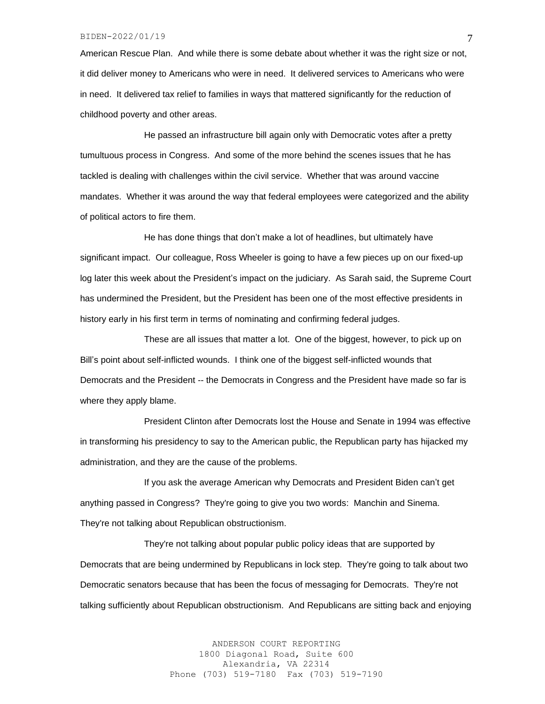### BIDEN-2022/01/19

American Rescue Plan. And while there is some debate about whether it was the right size or not, it did deliver money to Americans who were in need. It delivered services to Americans who were in need. It delivered tax relief to families in ways that mattered significantly for the reduction of childhood poverty and other areas.

He passed an infrastructure bill again only with Democratic votes after a pretty tumultuous process in Congress. And some of the more behind the scenes issues that he has tackled is dealing with challenges within the civil service. Whether that was around vaccine mandates. Whether it was around the way that federal employees were categorized and the ability of political actors to fire them.

He has done things that don't make a lot of headlines, but ultimately have significant impact. Our colleague, Ross Wheeler is going to have a few pieces up on our fixed-up log later this week about the President's impact on the judiciary. As Sarah said, the Supreme Court has undermined the President, but the President has been one of the most effective presidents in history early in his first term in terms of nominating and confirming federal judges.

These are all issues that matter a lot. One of the biggest, however, to pick up on Bill's point about self-inflicted wounds. I think one of the biggest self-inflicted wounds that Democrats and the President -- the Democrats in Congress and the President have made so far is where they apply blame.

President Clinton after Democrats lost the House and Senate in 1994 was effective in transforming his presidency to say to the American public, the Republican party has hijacked my administration, and they are the cause of the problems.

If you ask the average American why Democrats and President Biden can't get anything passed in Congress? They're going to give you two words: Manchin and Sinema. They're not talking about Republican obstructionism.

They're not talking about popular public policy ideas that are supported by Democrats that are being undermined by Republicans in lock step. They're going to talk about two Democratic senators because that has been the focus of messaging for Democrats. They're not talking sufficiently about Republican obstructionism. And Republicans are sitting back and enjoying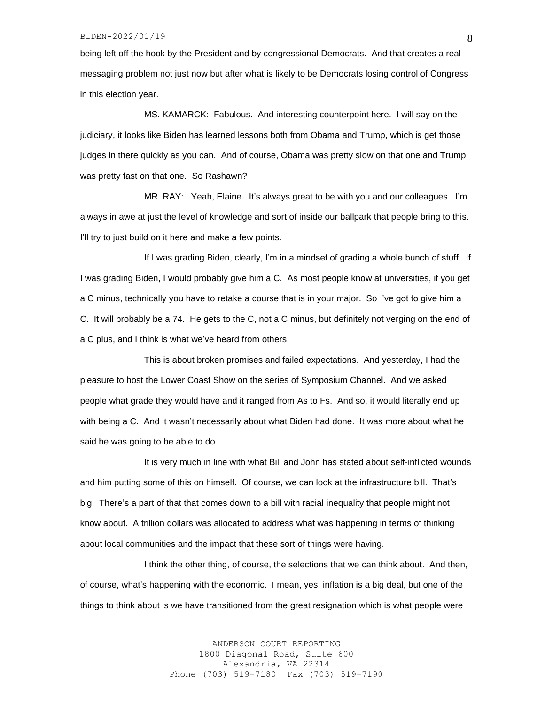being left off the hook by the President and by congressional Democrats. And that creates a real messaging problem not just now but after what is likely to be Democrats losing control of Congress in this election year.

MS. KAMARCK: Fabulous. And interesting counterpoint here. I will say on the judiciary, it looks like Biden has learned lessons both from Obama and Trump, which is get those judges in there quickly as you can. And of course, Obama was pretty slow on that one and Trump was pretty fast on that one. So Rashawn?

MR. RAY: Yeah, Elaine. It's always great to be with you and our colleagues. I'm always in awe at just the level of knowledge and sort of inside our ballpark that people bring to this. I'll try to just build on it here and make a few points.

If I was grading Biden, clearly, I'm in a mindset of grading a whole bunch of stuff. If I was grading Biden, I would probably give him a C. As most people know at universities, if you get a C minus, technically you have to retake a course that is in your major. So I've got to give him a C. It will probably be a 74. He gets to the C, not a C minus, but definitely not verging on the end of a C plus, and I think is what we've heard from others.

This is about broken promises and failed expectations. And yesterday, I had the pleasure to host the Lower Coast Show on the series of Symposium Channel. And we asked people what grade they would have and it ranged from As to Fs. And so, it would literally end up with being a C. And it wasn't necessarily about what Biden had done. It was more about what he said he was going to be able to do.

It is very much in line with what Bill and John has stated about self-inflicted wounds and him putting some of this on himself. Of course, we can look at the infrastructure bill. That's big. There's a part of that that comes down to a bill with racial inequality that people might not know about. A trillion dollars was allocated to address what was happening in terms of thinking about local communities and the impact that these sort of things were having.

I think the other thing, of course, the selections that we can think about. And then, of course, what's happening with the economic. I mean, yes, inflation is a big deal, but one of the things to think about is we have transitioned from the great resignation which is what people were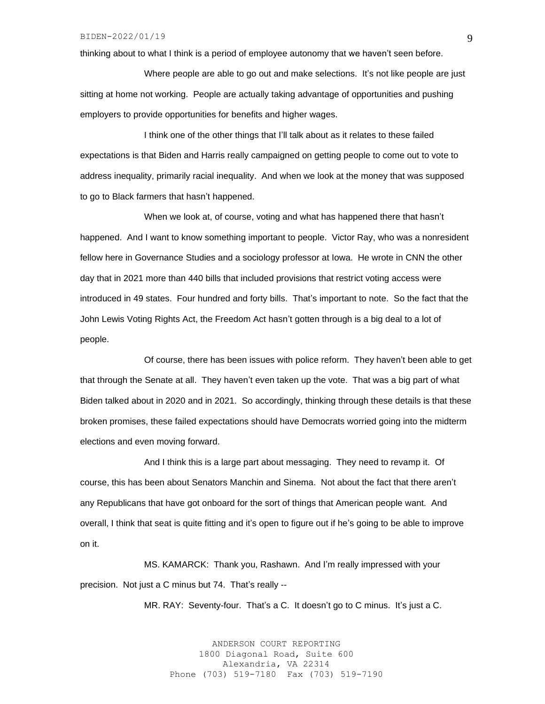thinking about to what I think is a period of employee autonomy that we haven't seen before.

Where people are able to go out and make selections. It's not like people are just sitting at home not working. People are actually taking advantage of opportunities and pushing employers to provide opportunities for benefits and higher wages.

I think one of the other things that I'll talk about as it relates to these failed expectations is that Biden and Harris really campaigned on getting people to come out to vote to address inequality, primarily racial inequality. And when we look at the money that was supposed to go to Black farmers that hasn't happened.

When we look at, of course, voting and what has happened there that hasn't happened. And I want to know something important to people. Victor Ray, who was a nonresident fellow here in Governance Studies and a sociology professor at Iowa. He wrote in CNN the other day that in 2021 more than 440 bills that included provisions that restrict voting access were introduced in 49 states. Four hundred and forty bills. That's important to note. So the fact that the John Lewis Voting Rights Act, the Freedom Act hasn't gotten through is a big deal to a lot of people.

Of course, there has been issues with police reform. They haven't been able to get that through the Senate at all. They haven't even taken up the vote. That was a big part of what Biden talked about in 2020 and in 2021. So accordingly, thinking through these details is that these broken promises, these failed expectations should have Democrats worried going into the midterm elections and even moving forward.

And I think this is a large part about messaging. They need to revamp it. Of course, this has been about Senators Manchin and Sinema. Not about the fact that there aren't any Republicans that have got onboard for the sort of things that American people want. And overall, I think that seat is quite fitting and it's open to figure out if he's going to be able to improve on it.

MS. KAMARCK: Thank you, Rashawn. And I'm really impressed with your precision. Not just a C minus but 74. That's really --

MR. RAY: Seventy-four. That's a C. It doesn't go to C minus. It's just a C.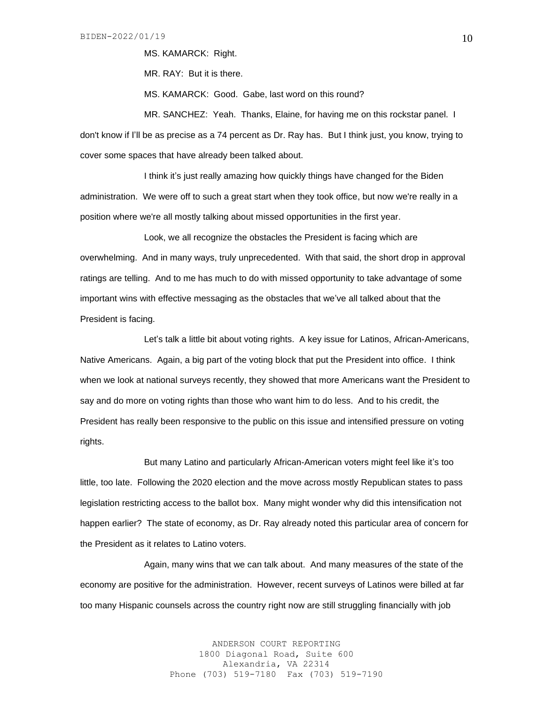MS. KAMARCK: Right.

MR. RAY: But it is there.

MS. KAMARCK: Good. Gabe, last word on this round?

MR. SANCHEZ: Yeah. Thanks, Elaine, for having me on this rockstar panel. I don't know if I'll be as precise as a 74 percent as Dr. Ray has. But I think just, you know, trying to cover some spaces that have already been talked about.

I think it's just really amazing how quickly things have changed for the Biden administration. We were off to such a great start when they took office, but now we're really in a position where we're all mostly talking about missed opportunities in the first year.

Look, we all recognize the obstacles the President is facing which are overwhelming. And in many ways, truly unprecedented. With that said, the short drop in approval ratings are telling. And to me has much to do with missed opportunity to take advantage of some important wins with effective messaging as the obstacles that we've all talked about that the President is facing.

Let's talk a little bit about voting rights. A key issue for Latinos, African-Americans, Native Americans. Again, a big part of the voting block that put the President into office. I think when we look at national surveys recently, they showed that more Americans want the President to say and do more on voting rights than those who want him to do less. And to his credit, the President has really been responsive to the public on this issue and intensified pressure on voting rights.

But many Latino and particularly African-American voters might feel like it's too little, too late. Following the 2020 election and the move across mostly Republican states to pass legislation restricting access to the ballot box. Many might wonder why did this intensification not happen earlier? The state of economy, as Dr. Ray already noted this particular area of concern for the President as it relates to Latino voters.

Again, many wins that we can talk about. And many measures of the state of the economy are positive for the administration. However, recent surveys of Latinos were billed at far too many Hispanic counsels across the country right now are still struggling financially with job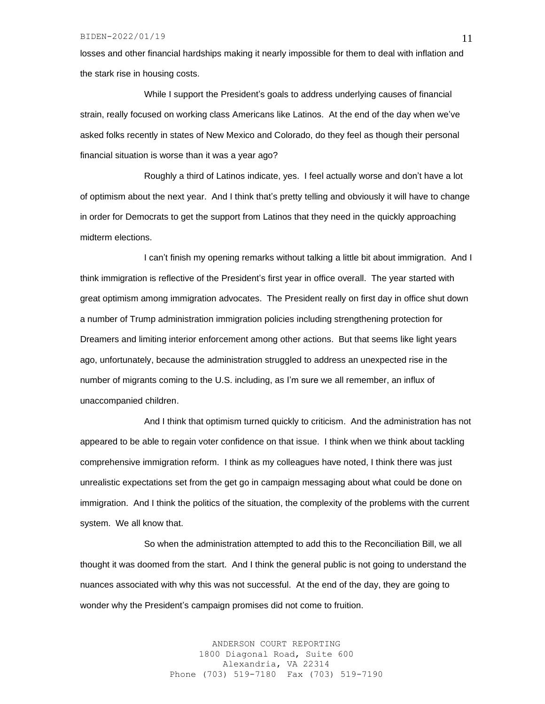losses and other financial hardships making it nearly impossible for them to deal with inflation and the stark rise in housing costs.

While I support the President's goals to address underlying causes of financial strain, really focused on working class Americans like Latinos. At the end of the day when we've asked folks recently in states of New Mexico and Colorado, do they feel as though their personal financial situation is worse than it was a year ago?

Roughly a third of Latinos indicate, yes. I feel actually worse and don't have a lot of optimism about the next year. And I think that's pretty telling and obviously it will have to change in order for Democrats to get the support from Latinos that they need in the quickly approaching midterm elections.

I can't finish my opening remarks without talking a little bit about immigration. And I think immigration is reflective of the President's first year in office overall. The year started with great optimism among immigration advocates. The President really on first day in office shut down a number of Trump administration immigration policies including strengthening protection for Dreamers and limiting interior enforcement among other actions. But that seems like light years ago, unfortunately, because the administration struggled to address an unexpected rise in the number of migrants coming to the U.S. including, as I'm sure we all remember, an influx of unaccompanied children.

And I think that optimism turned quickly to criticism. And the administration has not appeared to be able to regain voter confidence on that issue. I think when we think about tackling comprehensive immigration reform. I think as my colleagues have noted, I think there was just unrealistic expectations set from the get go in campaign messaging about what could be done on immigration. And I think the politics of the situation, the complexity of the problems with the current system. We all know that.

So when the administration attempted to add this to the Reconciliation Bill, we all thought it was doomed from the start. And I think the general public is not going to understand the nuances associated with why this was not successful. At the end of the day, they are going to wonder why the President's campaign promises did not come to fruition.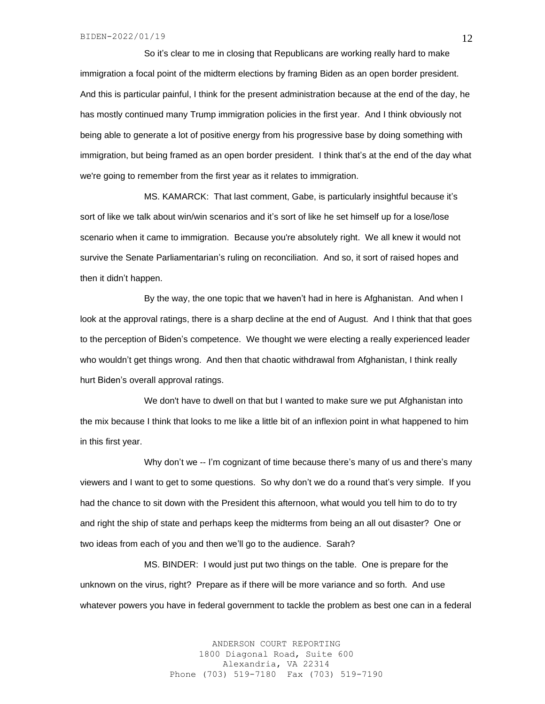So it's clear to me in closing that Republicans are working really hard to make immigration a focal point of the midterm elections by framing Biden as an open border president. And this is particular painful, I think for the present administration because at the end of the day, he has mostly continued many Trump immigration policies in the first year. And I think obviously not being able to generate a lot of positive energy from his progressive base by doing something with immigration, but being framed as an open border president. I think that's at the end of the day what we're going to remember from the first year as it relates to immigration.

MS. KAMARCK: That last comment, Gabe, is particularly insightful because it's sort of like we talk about win/win scenarios and it's sort of like he set himself up for a lose/lose scenario when it came to immigration. Because you're absolutely right. We all knew it would not survive the Senate Parliamentarian's ruling on reconciliation. And so, it sort of raised hopes and then it didn't happen.

By the way, the one topic that we haven't had in here is Afghanistan. And when I look at the approval ratings, there is a sharp decline at the end of August. And I think that that goes to the perception of Biden's competence. We thought we were electing a really experienced leader who wouldn't get things wrong. And then that chaotic withdrawal from Afghanistan, I think really hurt Biden's overall approval ratings.

We don't have to dwell on that but I wanted to make sure we put Afghanistan into the mix because I think that looks to me like a little bit of an inflexion point in what happened to him in this first year.

Why don't we -- I'm cognizant of time because there's many of us and there's many viewers and I want to get to some questions. So why don't we do a round that's very simple. If you had the chance to sit down with the President this afternoon, what would you tell him to do to try and right the ship of state and perhaps keep the midterms from being an all out disaster? One or two ideas from each of you and then we'll go to the audience. Sarah?

MS. BINDER: I would just put two things on the table. One is prepare for the unknown on the virus, right? Prepare as if there will be more variance and so forth. And use whatever powers you have in federal government to tackle the problem as best one can in a federal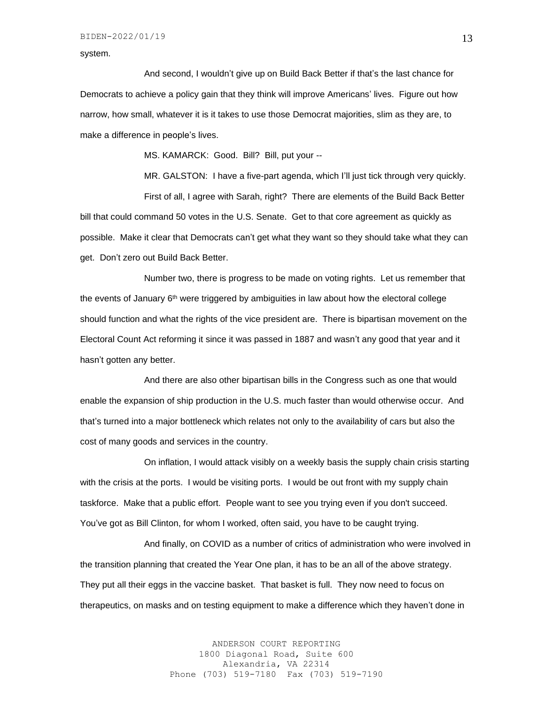system.

And second, I wouldn't give up on Build Back Better if that's the last chance for Democrats to achieve a policy gain that they think will improve Americans' lives. Figure out how narrow, how small, whatever it is it takes to use those Democrat majorities, slim as they are, to make a difference in people's lives.

MS. KAMARCK: Good. Bill? Bill, put your --

MR. GALSTON: I have a five-part agenda, which I'll just tick through very quickly. First of all, I agree with Sarah, right? There are elements of the Build Back Better bill that could command 50 votes in the U.S. Senate. Get to that core agreement as quickly as possible. Make it clear that Democrats can't get what they want so they should take what they can get. Don't zero out Build Back Better.

Number two, there is progress to be made on voting rights. Let us remember that the events of January 6<sup>th</sup> were triggered by ambiguities in law about how the electoral college should function and what the rights of the vice president are. There is bipartisan movement on the Electoral Count Act reforming it since it was passed in 1887 and wasn't any good that year and it hasn't gotten any better.

And there are also other bipartisan bills in the Congress such as one that would enable the expansion of ship production in the U.S. much faster than would otherwise occur. And that's turned into a major bottleneck which relates not only to the availability of cars but also the cost of many goods and services in the country.

On inflation, I would attack visibly on a weekly basis the supply chain crisis starting with the crisis at the ports. I would be visiting ports. I would be out front with my supply chain taskforce. Make that a public effort. People want to see you trying even if you don't succeed. You've got as Bill Clinton, for whom I worked, often said, you have to be caught trying.

And finally, on COVID as a number of critics of administration who were involved in the transition planning that created the Year One plan, it has to be an all of the above strategy. They put all their eggs in the vaccine basket. That basket is full. They now need to focus on therapeutics, on masks and on testing equipment to make a difference which they haven't done in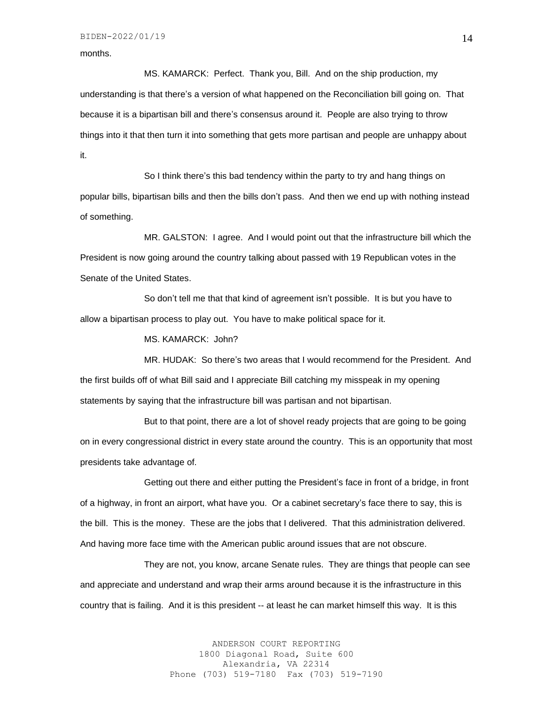#### months.

MS. KAMARCK: Perfect. Thank you, Bill. And on the ship production, my understanding is that there's a version of what happened on the Reconciliation bill going on. That because it is a bipartisan bill and there's consensus around it. People are also trying to throw things into it that then turn it into something that gets more partisan and people are unhappy about it.

So I think there's this bad tendency within the party to try and hang things on popular bills, bipartisan bills and then the bills don't pass. And then we end up with nothing instead of something.

MR. GALSTON: I agree. And I would point out that the infrastructure bill which the President is now going around the country talking about passed with 19 Republican votes in the Senate of the United States.

So don't tell me that that kind of agreement isn't possible. It is but you have to allow a bipartisan process to play out. You have to make political space for it.

MS. KAMARCK: John?

MR. HUDAK: So there's two areas that I would recommend for the President. And the first builds off of what Bill said and I appreciate Bill catching my misspeak in my opening statements by saying that the infrastructure bill was partisan and not bipartisan.

But to that point, there are a lot of shovel ready projects that are going to be going on in every congressional district in every state around the country. This is an opportunity that most presidents take advantage of.

Getting out there and either putting the President's face in front of a bridge, in front of a highway, in front an airport, what have you. Or a cabinet secretary's face there to say, this is the bill. This is the money. These are the jobs that I delivered. That this administration delivered. And having more face time with the American public around issues that are not obscure.

They are not, you know, arcane Senate rules. They are things that people can see and appreciate and understand and wrap their arms around because it is the infrastructure in this country that is failing. And it is this president -- at least he can market himself this way. It is this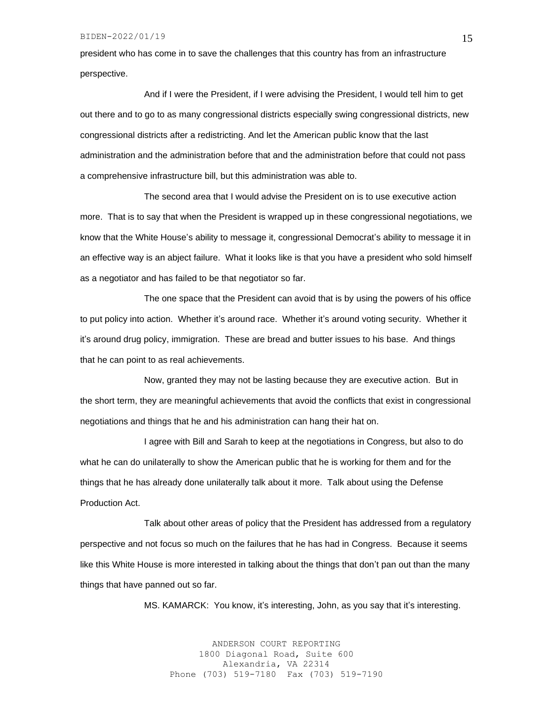president who has come in to save the challenges that this country has from an infrastructure perspective.

And if I were the President, if I were advising the President, I would tell him to get out there and to go to as many congressional districts especially swing congressional districts, new congressional districts after a redistricting. And let the American public know that the last administration and the administration before that and the administration before that could not pass a comprehensive infrastructure bill, but this administration was able to.

The second area that I would advise the President on is to use executive action more. That is to say that when the President is wrapped up in these congressional negotiations, we know that the White House's ability to message it, congressional Democrat's ability to message it in an effective way is an abject failure. What it looks like is that you have a president who sold himself as a negotiator and has failed to be that negotiator so far.

The one space that the President can avoid that is by using the powers of his office to put policy into action. Whether it's around race. Whether it's around voting security. Whether it it's around drug policy, immigration. These are bread and butter issues to his base. And things that he can point to as real achievements.

Now, granted they may not be lasting because they are executive action. But in the short term, they are meaningful achievements that avoid the conflicts that exist in congressional negotiations and things that he and his administration can hang their hat on.

I agree with Bill and Sarah to keep at the negotiations in Congress, but also to do what he can do unilaterally to show the American public that he is working for them and for the things that he has already done unilaterally talk about it more. Talk about using the Defense Production Act.

Talk about other areas of policy that the President has addressed from a regulatory perspective and not focus so much on the failures that he has had in Congress. Because it seems like this White House is more interested in talking about the things that don't pan out than the many things that have panned out so far.

MS. KAMARCK: You know, it's interesting, John, as you say that it's interesting.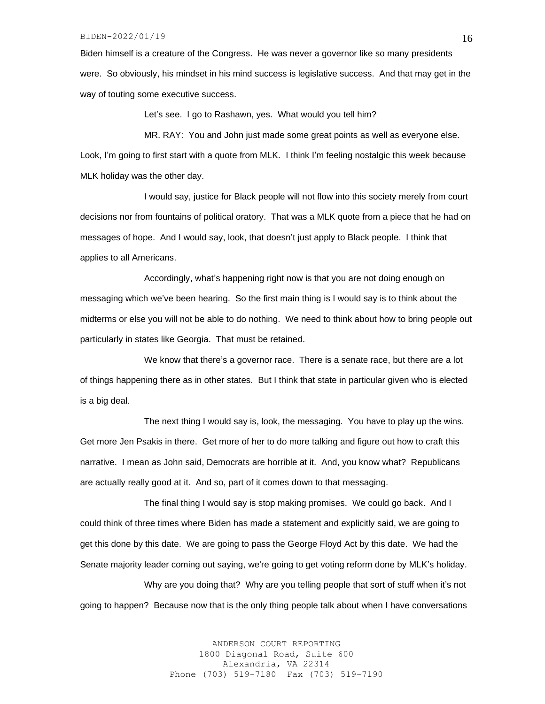Biden himself is a creature of the Congress. He was never a governor like so many presidents were. So obviously, his mindset in his mind success is legislative success. And that may get in the way of touting some executive success.

Let's see. I go to Rashawn, yes. What would you tell him?

MR. RAY: You and John just made some great points as well as everyone else. Look, I'm going to first start with a quote from MLK. I think I'm feeling nostalgic this week because MLK holiday was the other day.

I would say, justice for Black people will not flow into this society merely from court decisions nor from fountains of political oratory. That was a MLK quote from a piece that he had on messages of hope. And I would say, look, that doesn't just apply to Black people. I think that applies to all Americans.

Accordingly, what's happening right now is that you are not doing enough on messaging which we've been hearing. So the first main thing is I would say is to think about the midterms or else you will not be able to do nothing. We need to think about how to bring people out particularly in states like Georgia. That must be retained.

We know that there's a governor race. There is a senate race, but there are a lot of things happening there as in other states. But I think that state in particular given who is elected is a big deal.

The next thing I would say is, look, the messaging. You have to play up the wins. Get more Jen Psakis in there. Get more of her to do more talking and figure out how to craft this narrative. I mean as John said, Democrats are horrible at it. And, you know what? Republicans are actually really good at it. And so, part of it comes down to that messaging.

The final thing I would say is stop making promises. We could go back. And I could think of three times where Biden has made a statement and explicitly said, we are going to get this done by this date. We are going to pass the George Floyd Act by this date. We had the Senate majority leader coming out saying, we're going to get voting reform done by MLK's holiday.

Why are you doing that? Why are you telling people that sort of stuff when it's not going to happen? Because now that is the only thing people talk about when I have conversations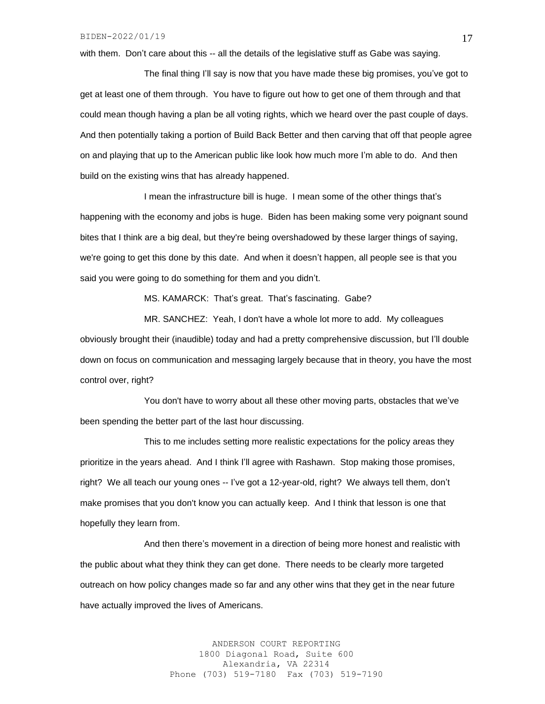with them. Don't care about this -- all the details of the legislative stuff as Gabe was saying.

The final thing I'll say is now that you have made these big promises, you've got to get at least one of them through. You have to figure out how to get one of them through and that could mean though having a plan be all voting rights, which we heard over the past couple of days. And then potentially taking a portion of Build Back Better and then carving that off that people agree on and playing that up to the American public like look how much more I'm able to do. And then build on the existing wins that has already happened.

I mean the infrastructure bill is huge. I mean some of the other things that's happening with the economy and jobs is huge. Biden has been making some very poignant sound bites that I think are a big deal, but they're being overshadowed by these larger things of saying, we're going to get this done by this date. And when it doesn't happen, all people see is that you said you were going to do something for them and you didn't.

MS. KAMARCK: That's great. That's fascinating. Gabe?

MR. SANCHEZ: Yeah, I don't have a whole lot more to add. My colleagues obviously brought their (inaudible) today and had a pretty comprehensive discussion, but I'll double down on focus on communication and messaging largely because that in theory, you have the most control over, right?

You don't have to worry about all these other moving parts, obstacles that we've been spending the better part of the last hour discussing.

This to me includes setting more realistic expectations for the policy areas they prioritize in the years ahead. And I think I'll agree with Rashawn. Stop making those promises, right? We all teach our young ones -- I've got a 12-year-old, right? We always tell them, don't make promises that you don't know you can actually keep. And I think that lesson is one that hopefully they learn from.

And then there's movement in a direction of being more honest and realistic with the public about what they think they can get done. There needs to be clearly more targeted outreach on how policy changes made so far and any other wins that they get in the near future have actually improved the lives of Americans.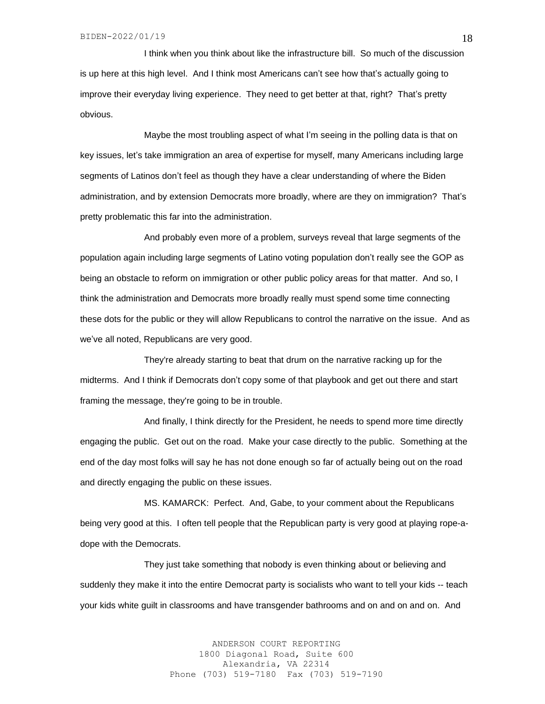I think when you think about like the infrastructure bill. So much of the discussion is up here at this high level. And I think most Americans can't see how that's actually going to improve their everyday living experience. They need to get better at that, right? That's pretty obvious.

Maybe the most troubling aspect of what I'm seeing in the polling data is that on key issues, let's take immigration an area of expertise for myself, many Americans including large segments of Latinos don't feel as though they have a clear understanding of where the Biden administration, and by extension Democrats more broadly, where are they on immigration? That's pretty problematic this far into the administration.

And probably even more of a problem, surveys reveal that large segments of the population again including large segments of Latino voting population don't really see the GOP as being an obstacle to reform on immigration or other public policy areas for that matter. And so, I think the administration and Democrats more broadly really must spend some time connecting these dots for the public or they will allow Republicans to control the narrative on the issue. And as we've all noted, Republicans are very good.

They're already starting to beat that drum on the narrative racking up for the midterms. And I think if Democrats don't copy some of that playbook and get out there and start framing the message, they're going to be in trouble.

And finally, I think directly for the President, he needs to spend more time directly engaging the public. Get out on the road. Make your case directly to the public. Something at the end of the day most folks will say he has not done enough so far of actually being out on the road and directly engaging the public on these issues.

MS. KAMARCK: Perfect. And, Gabe, to your comment about the Republicans being very good at this. I often tell people that the Republican party is very good at playing rope-adope with the Democrats.

They just take something that nobody is even thinking about or believing and suddenly they make it into the entire Democrat party is socialists who want to tell your kids -- teach your kids white guilt in classrooms and have transgender bathrooms and on and on and on. And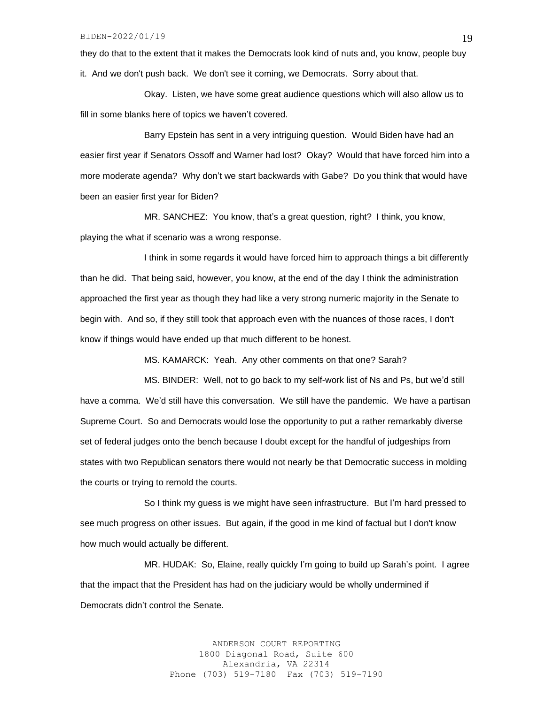they do that to the extent that it makes the Democrats look kind of nuts and, you know, people buy it. And we don't push back. We don't see it coming, we Democrats. Sorry about that.

Okay. Listen, we have some great audience questions which will also allow us to fill in some blanks here of topics we haven't covered.

Barry Epstein has sent in a very intriguing question. Would Biden have had an easier first year if Senators Ossoff and Warner had lost? Okay? Would that have forced him into a more moderate agenda? Why don't we start backwards with Gabe? Do you think that would have been an easier first year for Biden?

MR. SANCHEZ: You know, that's a great question, right? I think, you know, playing the what if scenario was a wrong response.

I think in some regards it would have forced him to approach things a bit differently than he did. That being said, however, you know, at the end of the day I think the administration approached the first year as though they had like a very strong numeric majority in the Senate to begin with. And so, if they still took that approach even with the nuances of those races, I don't know if things would have ended up that much different to be honest.

MS. KAMARCK: Yeah. Any other comments on that one? Sarah?

MS. BINDER: Well, not to go back to my self-work list of Ns and Ps, but we'd still have a comma. We'd still have this conversation. We still have the pandemic. We have a partisan Supreme Court. So and Democrats would lose the opportunity to put a rather remarkably diverse set of federal judges onto the bench because I doubt except for the handful of judgeships from states with two Republican senators there would not nearly be that Democratic success in molding the courts or trying to remold the courts.

So I think my guess is we might have seen infrastructure. But I'm hard pressed to see much progress on other issues. But again, if the good in me kind of factual but I don't know how much would actually be different.

MR. HUDAK: So, Elaine, really quickly I'm going to build up Sarah's point. I agree that the impact that the President has had on the judiciary would be wholly undermined if Democrats didn't control the Senate.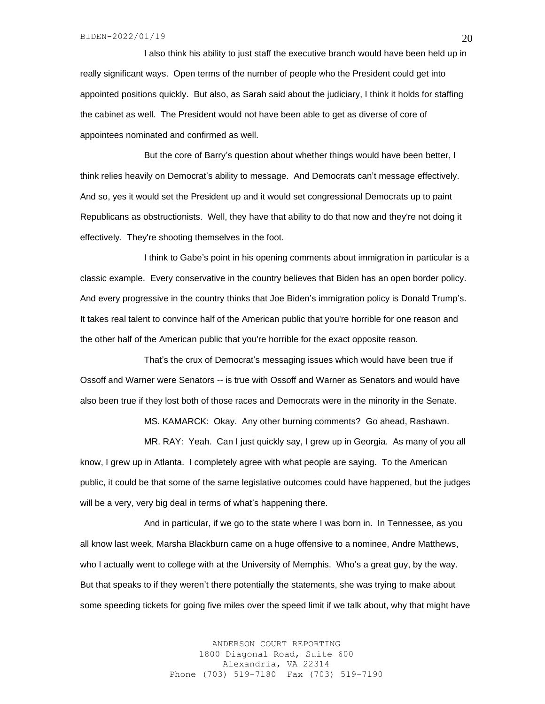I also think his ability to just staff the executive branch would have been held up in really significant ways. Open terms of the number of people who the President could get into appointed positions quickly. But also, as Sarah said about the judiciary, I think it holds for staffing the cabinet as well. The President would not have been able to get as diverse of core of appointees nominated and confirmed as well.

But the core of Barry's question about whether things would have been better, I think relies heavily on Democrat's ability to message. And Democrats can't message effectively. And so, yes it would set the President up and it would set congressional Democrats up to paint Republicans as obstructionists. Well, they have that ability to do that now and they're not doing it effectively. They're shooting themselves in the foot.

I think to Gabe's point in his opening comments about immigration in particular is a classic example. Every conservative in the country believes that Biden has an open border policy. And every progressive in the country thinks that Joe Biden's immigration policy is Donald Trump's. It takes real talent to convince half of the American public that you're horrible for one reason and the other half of the American public that you're horrible for the exact opposite reason.

That's the crux of Democrat's messaging issues which would have been true if Ossoff and Warner were Senators -- is true with Ossoff and Warner as Senators and would have also been true if they lost both of those races and Democrats were in the minority in the Senate.

MS. KAMARCK: Okay. Any other burning comments? Go ahead, Rashawn.

MR. RAY: Yeah. Can I just quickly say, I grew up in Georgia. As many of you all know, I grew up in Atlanta. I completely agree with what people are saying. To the American public, it could be that some of the same legislative outcomes could have happened, but the judges will be a very, very big deal in terms of what's happening there.

And in particular, if we go to the state where I was born in. In Tennessee, as you all know last week, Marsha Blackburn came on a huge offensive to a nominee, Andre Matthews, who I actually went to college with at the University of Memphis. Who's a great guy, by the way. But that speaks to if they weren't there potentially the statements, she was trying to make about some speeding tickets for going five miles over the speed limit if we talk about, why that might have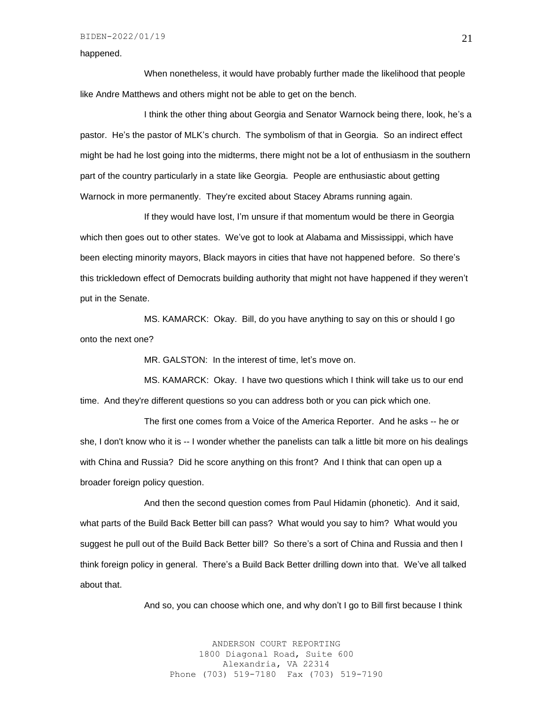### happened.

When nonetheless, it would have probably further made the likelihood that people like Andre Matthews and others might not be able to get on the bench.

I think the other thing about Georgia and Senator Warnock being there, look, he's a pastor. He's the pastor of MLK's church. The symbolism of that in Georgia. So an indirect effect might be had he lost going into the midterms, there might not be a lot of enthusiasm in the southern part of the country particularly in a state like Georgia. People are enthusiastic about getting Warnock in more permanently. They're excited about Stacey Abrams running again.

If they would have lost, I'm unsure if that momentum would be there in Georgia which then goes out to other states. We've got to look at Alabama and Mississippi, which have been electing minority mayors, Black mayors in cities that have not happened before. So there's this trickledown effect of Democrats building authority that might not have happened if they weren't put in the Senate.

MS. KAMARCK: Okay. Bill, do you have anything to say on this or should I go onto the next one?

MR. GALSTON: In the interest of time, let's move on.

MS. KAMARCK: Okay. I have two questions which I think will take us to our end time. And they're different questions so you can address both or you can pick which one.

The first one comes from a Voice of the America Reporter. And he asks -- he or she, I don't know who it is -- I wonder whether the panelists can talk a little bit more on his dealings with China and Russia? Did he score anything on this front? And I think that can open up a broader foreign policy question.

And then the second question comes from Paul Hidamin (phonetic). And it said, what parts of the Build Back Better bill can pass? What would you say to him? What would you suggest he pull out of the Build Back Better bill? So there's a sort of China and Russia and then I think foreign policy in general. There's a Build Back Better drilling down into that. We've all talked about that.

And so, you can choose which one, and why don't I go to Bill first because I think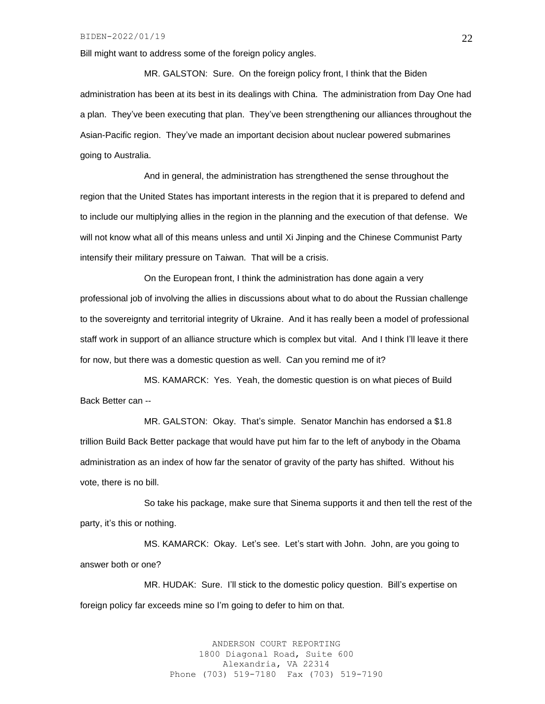Bill might want to address some of the foreign policy angles.

MR. GALSTON: Sure. On the foreign policy front, I think that the Biden administration has been at its best in its dealings with China. The administration from Day One had a plan. They've been executing that plan. They've been strengthening our alliances throughout the Asian-Pacific region. They've made an important decision about nuclear powered submarines going to Australia.

And in general, the administration has strengthened the sense throughout the region that the United States has important interests in the region that it is prepared to defend and to include our multiplying allies in the region in the planning and the execution of that defense. We will not know what all of this means unless and until Xi Jinping and the Chinese Communist Party intensify their military pressure on Taiwan. That will be a crisis.

On the European front, I think the administration has done again a very professional job of involving the allies in discussions about what to do about the Russian challenge to the sovereignty and territorial integrity of Ukraine. And it has really been a model of professional staff work in support of an alliance structure which is complex but vital. And I think I'll leave it there for now, but there was a domestic question as well. Can you remind me of it?

MS. KAMARCK: Yes. Yeah, the domestic question is on what pieces of Build Back Better can --

MR. GALSTON: Okay. That's simple. Senator Manchin has endorsed a \$1.8 trillion Build Back Better package that would have put him far to the left of anybody in the Obama administration as an index of how far the senator of gravity of the party has shifted. Without his vote, there is no bill.

So take his package, make sure that Sinema supports it and then tell the rest of the party, it's this or nothing.

MS. KAMARCK: Okay. Let's see. Let's start with John. John, are you going to answer both or one?

MR. HUDAK: Sure. I'll stick to the domestic policy question. Bill's expertise on foreign policy far exceeds mine so I'm going to defer to him on that.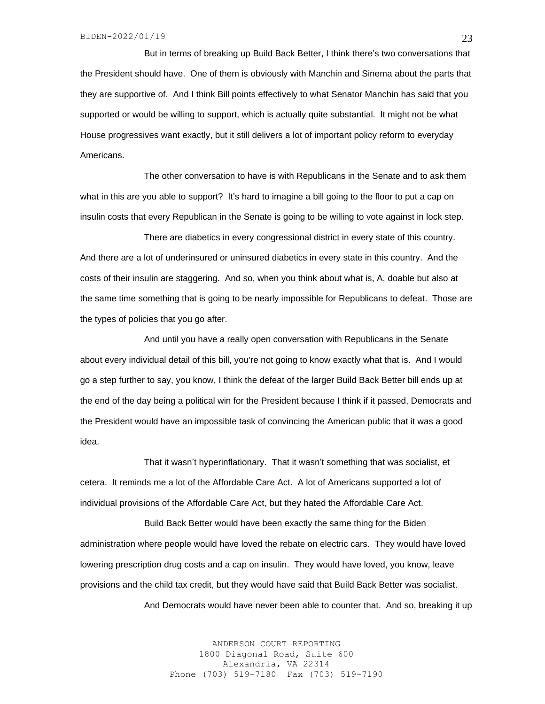But in terms of breaking up Build Back Better, I think there's two conversations that the President should have. One of them is obviously with Manchin and Sinema about the parts that they are supportive of. And I think Bill points effectively to what Senator Manchin has said that you supported or would be willing to support, which is actually quite substantial. It might not be what House progressives want exactly, but it still delivers a lot of important policy reform to everyday Americans.

The other conversation to have is with Republicans in the Senate and to ask them what in this are you able to support? It's hard to imagine a bill going to the floor to put a cap on insulin costs that every Republican in the Senate is going to be willing to vote against in lock step.

There are diabetics in every congressional district in every state of this country. And there are a lot of underinsured or uninsured diabetics in every state in this country. And the costs of their insulin are staggering. And so, when you think about what is, A, doable but also at the same time something that is going to be nearly impossible for Republicans to defeat. Those are the types of policies that you go after.

And until you have a really open conversation with Republicans in the Senate about every individual detail of this bill, you're not going to know exactly what that is. And I would go a step further to say, you know, I think the defeat of the larger Build Back Better bill ends up at the end of the day being a political win for the President because I think if it passed, Democrats and the President would have an impossible task of convincing the American public that it was a good idea.

That it wasn't hyperinflationary. That it wasn't something that was socialist, et cetera. It reminds me a lot of the Affordable Care Act. A lot of Americans supported a lot of individual provisions of the Affordable Care Act, but they hated the Affordable Care Act.

Build Back Better would have been exactly the same thing for the Biden administration where people would have loved the rebate on electric cars. They would have loved lowering prescription drug costs and a cap on insulin. They would have loved, you know, leave provisions and the child tax credit, but they would have said that Build Back Better was socialist.

And Democrats would have never been able to counter that. And so, breaking it up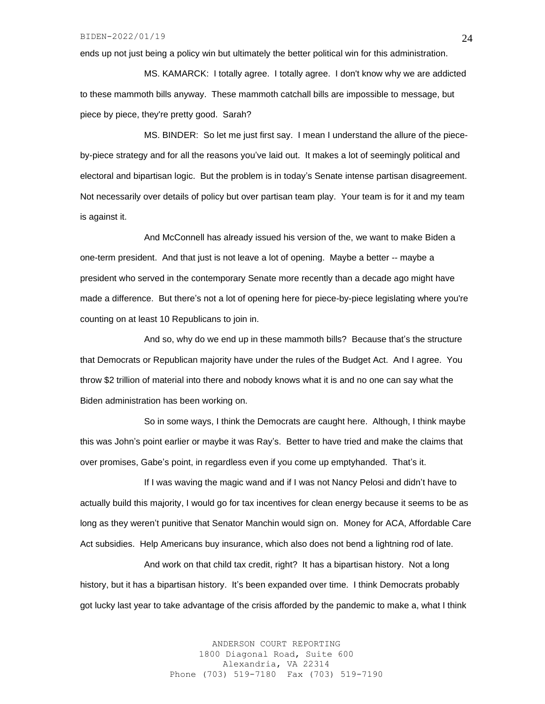ends up not just being a policy win but ultimately the better political win for this administration.

MS. KAMARCK: I totally agree. I totally agree. I don't know why we are addicted to these mammoth bills anyway. These mammoth catchall bills are impossible to message, but piece by piece, they're pretty good. Sarah?

MS. BINDER: So let me just first say. I mean I understand the allure of the pieceby-piece strategy and for all the reasons you've laid out. It makes a lot of seemingly political and electoral and bipartisan logic. But the problem is in today's Senate intense partisan disagreement. Not necessarily over details of policy but over partisan team play. Your team is for it and my team is against it.

And McConnell has already issued his version of the, we want to make Biden a one-term president. And that just is not leave a lot of opening. Maybe a better -- maybe a president who served in the contemporary Senate more recently than a decade ago might have made a difference. But there's not a lot of opening here for piece-by-piece legislating where you're counting on at least 10 Republicans to join in.

And so, why do we end up in these mammoth bills? Because that's the structure that Democrats or Republican majority have under the rules of the Budget Act. And I agree. You throw \$2 trillion of material into there and nobody knows what it is and no one can say what the Biden administration has been working on.

So in some ways, I think the Democrats are caught here. Although, I think maybe this was John's point earlier or maybe it was Ray's. Better to have tried and make the claims that over promises, Gabe's point, in regardless even if you come up emptyhanded. That's it.

If I was waving the magic wand and if I was not Nancy Pelosi and didn't have to actually build this majority, I would go for tax incentives for clean energy because it seems to be as long as they weren't punitive that Senator Manchin would sign on. Money for ACA, Affordable Care Act subsidies. Help Americans buy insurance, which also does not bend a lightning rod of late.

And work on that child tax credit, right? It has a bipartisan history. Not a long history, but it has a bipartisan history. It's been expanded over time. I think Democrats probably got lucky last year to take advantage of the crisis afforded by the pandemic to make a, what I think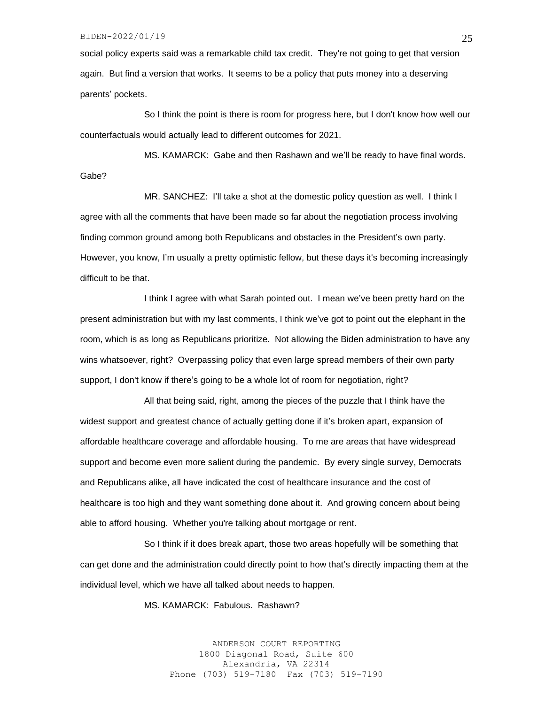#### BIDEN-2022/01/19

social policy experts said was a remarkable child tax credit. They're not going to get that version again. But find a version that works. It seems to be a policy that puts money into a deserving parents' pockets.

So I think the point is there is room for progress here, but I don't know how well our counterfactuals would actually lead to different outcomes for 2021.

MS. KAMARCK: Gabe and then Rashawn and we'll be ready to have final words. Gabe?

MR. SANCHEZ: I'll take a shot at the domestic policy question as well. I think I agree with all the comments that have been made so far about the negotiation process involving finding common ground among both Republicans and obstacles in the President's own party. However, you know, I'm usually a pretty optimistic fellow, but these days it's becoming increasingly difficult to be that.

I think I agree with what Sarah pointed out. I mean we've been pretty hard on the present administration but with my last comments, I think we've got to point out the elephant in the room, which is as long as Republicans prioritize. Not allowing the Biden administration to have any wins whatsoever, right? Overpassing policy that even large spread members of their own party support, I don't know if there's going to be a whole lot of room for negotiation, right?

All that being said, right, among the pieces of the puzzle that I think have the widest support and greatest chance of actually getting done if it's broken apart, expansion of affordable healthcare coverage and affordable housing. To me are areas that have widespread support and become even more salient during the pandemic. By every single survey, Democrats and Republicans alike, all have indicated the cost of healthcare insurance and the cost of healthcare is too high and they want something done about it. And growing concern about being able to afford housing. Whether you're talking about mortgage or rent.

So I think if it does break apart, those two areas hopefully will be something that can get done and the administration could directly point to how that's directly impacting them at the individual level, which we have all talked about needs to happen.

MS. KAMARCK: Fabulous. Rashawn?

ANDERSON COURT REPORTING 1800 Diagonal Road, Suite 600 Alexandria, VA 22314 Phone (703) 519-7180 Fax (703) 519-7190 25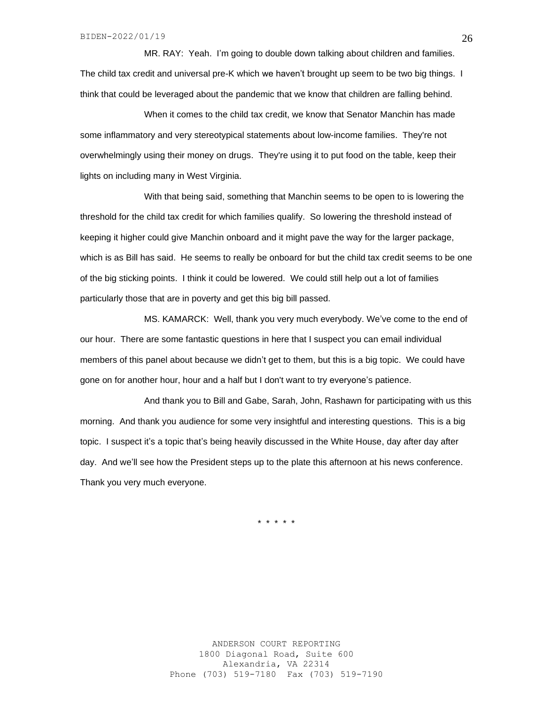MR. RAY: Yeah. I'm going to double down talking about children and families. The child tax credit and universal pre-K which we haven't brought up seem to be two big things. I think that could be leveraged about the pandemic that we know that children are falling behind.

When it comes to the child tax credit, we know that Senator Manchin has made some inflammatory and very stereotypical statements about low-income families. They're not overwhelmingly using their money on drugs. They're using it to put food on the table, keep their lights on including many in West Virginia.

With that being said, something that Manchin seems to be open to is lowering the threshold for the child tax credit for which families qualify. So lowering the threshold instead of keeping it higher could give Manchin onboard and it might pave the way for the larger package, which is as Bill has said. He seems to really be onboard for but the child tax credit seems to be one of the big sticking points. I think it could be lowered. We could still help out a lot of families particularly those that are in poverty and get this big bill passed.

MS. KAMARCK: Well, thank you very much everybody. We've come to the end of our hour. There are some fantastic questions in here that I suspect you can email individual members of this panel about because we didn't get to them, but this is a big topic. We could have gone on for another hour, hour and a half but I don't want to try everyone's patience.

And thank you to Bill and Gabe, Sarah, John, Rashawn for participating with us this morning. And thank you audience for some very insightful and interesting questions. This is a big topic. I suspect it's a topic that's being heavily discussed in the White House, day after day after day. And we'll see how the President steps up to the plate this afternoon at his news conference. Thank you very much everyone.

\* \* \* \* \*